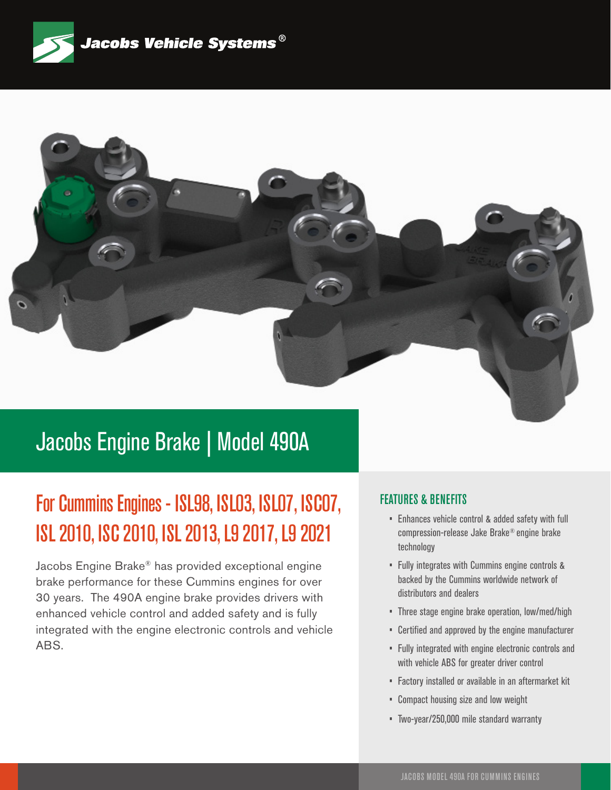



### Jacobs Engine Brake | Model 490A

## For Cummins Engines - ISL98, ISL03, ISL07, ISC07, ISL 2010, ISC 2010, ISL 2013, L9 2017, L9 2021

Jacobs Engine Brake® has provided exceptional engine brake performance for these Cummins engines for over 30 years. The 490A engine brake provides drivers with enhanced vehicle control and added safety and is fully integrated with the engine electronic controls and vehicle ABS.

#### FEATURES & BENEFITS

- Enhances vehicle control & added safety with full compression-release Jake Brake® engine brake technology
- Fully integrates with Cummins engine controls & backed by the Cummins worldwide network of distributors and dealers
- Three stage engine brake operation, low/med/high
- Certified and approved by the engine manufacturer
- Fully integrated with engine electronic controls and with vehicle ABS for greater driver control
- Factory installed or available in an aftermarket kit
- Compact housing size and low weight
- Two-year/250,000 mile standard warranty